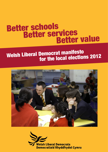# Better schools<br>Better services<br>Better value

# Welsh Liberal Democrat manifesto<br>for the local elections 2012



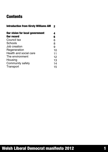#### **Contents**

| <b>Introduction from Kirsty Williams AM</b> | $\overline{\mathbf{2}}$ |
|---------------------------------------------|-------------------------|
| <b>Our vision for local government</b>      | 4                       |
| <b>Our record</b>                           | 6                       |
| Council tax                                 | 6                       |
| Schools                                     | 8                       |
| Job creation                                | 9                       |
| Regeneration                                | 10                      |
| Health and social care                      | 11                      |
| The environment                             | 12                      |
| Housing                                     | 13                      |
| <b>Community safety</b>                     | 14                      |
| Transport                                   | 15                      |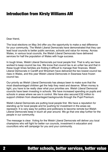#### Introduction from Kirsty Williams AM

Dear friend,

The local elections on May 3rd offer you the opportunity to make a real difference for your community. The Welsh Liberal Democrats have demonstrated that they can lead local councils to better public services, schools and value for money. Across Wales, in various local councils, the Welsh Liberal Democrats have delivered services for half the population of Wales with huge success.

In tough times, Welsh Liberal Democrats put local people first. That is why we have worked to keep council tax low. We know that council tax is an unfair tax and that in these tough times families are finding it difficult to manage their finances. Welsh Liberal Democrats in Cardiff and Wrexham have delivered the two lowest council tax rises in Wales, and this year Welsh Liberal Democrats in Swansea have frozen council tax.

Our priority as Welsh Liberal Democrats has always been to make sure that the most disadvantaged children get the help they need and deserve. When money is tight, you have to be really clear what your priorities are. Welsh Liberal Democrat councils have been investing in schools. We have increased spending on pupils and schools in areas where we are in control. We have also secured £32 million to support children from disadvantaged backgrounds through the Pupil Premium.

Welsh Liberal Democrats are putting local people first. We have a reputation for standing up for local people and for pushing for investment in the areas we represent. It is very easy for politics and politicians to become remote but Welsh Liberal Democrats keep in touch all year around. We go that one step further for the people in our community.

The message is clear. Voting for the Welsh Liberal Democrats will deliver you local champions who will fight for better run councils, investment in education and councillors who will campaign for you and your community.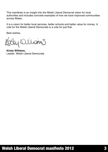This manifesto is an insight into the Welsh Liberal Democrat vision for local authorities and includes concrete examples of how we have improved communities across Wales.

It is a vision for better local services, better schools and better value for money. A vote for the Welsh Liberal Democrats is a vote for just that.

Best wishes,

y Quions

**Kirsty Williams,** Leader, Welsh Liberal Democrats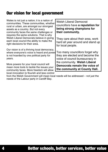# Our vision for local government

| Wales is not just a nation; it is a nation of<br>communities. These communities, whether<br>rural or urban, are amongst our strongest<br>assets as a country. But not every<br>community faces the same challenges or<br>requires the same solutions. That is why | <b>Welsh Liberal Democrat</b><br>councillors have a reputation for<br>being strong champions for<br>their community.                  |
|-------------------------------------------------------------------------------------------------------------------------------------------------------------------------------------------------------------------------------------------------------------------|---------------------------------------------------------------------------------------------------------------------------------------|
| Welsh Liberal Democrats believe in giving<br>each local council the ability to make the<br>right decisions for their area.                                                                                                                                        | They care about their area, work<br>hard all year around and stand up<br>for local people.                                            |
| Our vision is of a thriving local democracy,<br>where everyone's voice is heard and power<br>is not hoarded by one political party for<br>years.                                                                                                                  | Too many councillors forget why<br>they are elected and become the<br>voice of council bureaucracy in<br>the community. Welsh Liberal |
| More powers for your local council will<br>mean more tools to tackle the issues your<br>community faces. More freedom will allow                                                                                                                                  | Democrats remain the voice of<br>the community at County Hall.                                                                        |
| local innovation to flourish and less control                                                                                                                                                                                                                     |                                                                                                                                       |

from the Welsh Government will mean local needs will be addressed – not just the needs of the Labour party in Cardiff Bay.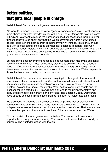# Better politics, that puts local people in charge

Welsh Liberal Democrats want greater freedom for local councils.

We want to introduce a single power of "general competence" to give local councils more choice over what they do; similar to the one Liberal Democrats have delivered in England. We want to reduce the number of specific funds that councils are given, funds that have to be spent on what the Welsh government wants not what local people judge is in the best interest of their community. Instead, this money should be given to local councils to spend on what they decide is important. This won't mean less money; instead it will mean councils can spend their money on what they want. We would begin these changes by introducing a Community Bill of Rights, guaranteeing new powers for councils.

But reforming local government needs to be about more than just giving additional powers to the town hall. Local democracy also has to be strengthened. Councils need to reflect the different political voices that exist in every community. Local democracy needs to be restored and renewed in some councils in Wales, especially those that have been run by Labour for decades.

Welsh Liberal Democrats have been campaigning for changes to the way local councils are elected for generations. We want to hear all views and believe that all communities deserve real democratic accountability. We want to see a new electoral system, the Single Transferable Vote, so that every vote counts and the local council is elected fairly – this will mean an end to the unrepresentative oneparty politics that exists in many parts of Wales. The Scottish Liberal Democrats have already achieved this and local politics has been re-invigorated as a result.

We also need to clean up the way our councils do politics. Fairer elections will contribute to this by making sure many more seats are contested. We also want an independent review of the way councils manage their own affairs. That way we can promote the open and transparent practices of the best councils across Wales.

This is our vision for local government in Wales. Your council will have more opportunity to change your community. Your council will be elected fairly. And your council will be trusted to get on with the job.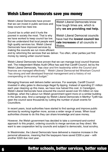#### Welsh Liberal Democrats save you money

Welsh Liberal Democrats have proven that we can invest in public services and keep council tax rises low.

Council tax is unfair and it hurts the poorest in society the most. That is why we have worked to keep council tax low. But we understand that local people want high quality services too. Welsh Liberal Democrats have improved services by making the councils we run more efficient Welsh Liberal Democrats know how tough times are, which is why **we are providing real help.**

Welsh Liberal Democrat councils have had the **lowest council tax rate increases** of all councils in Wales.

and by reforming the services that we deliver. Too often, other parties just find money by raising unfair council taxes.

Welsh Liberal Democrats have proven that we can manage local council finances well. The independent Wales Audit Office has said that Cardiff Council, led by the Welsh Liberal Democrats, "has clear and firm leadership within the Council and finances are managed effectively." Welsh Liberal Democrat-led Wrexham Council "has strong and well developed financial management and a history of not overspending on its annual budget."

Managing finances well delivers better services. For example, Cardiff Council invested in alley gates to discourage illegal fly-tipping. Instead of spending £1 million each year cleaning up this mess, we have now halved this cost. In Ceredigion, Welsh Liberal Democrats have ensured the council saved over £5 million on new buildings, when the Labour-run Welsh government spent more on a similar building in the same area. And a campaign by Welsh Liberal Democrats in Merthyr Tydfil has seen the council save thousands by cutting the number of plush events for Councillors.

In recent years, local authorities have started to find savings and improve public services by working together more, across a wider range of areas. When local authorities choose to do this they can share knowledge and save money.

However, the Welsh government has decided to take a command-and-control approach to this project, ordering councils to merge services as they direct. We want to see cooperation led by councils and subject to democratic, local scrutiny.

In Westminster, the Liberal Democrats have delivered a massive increase in the personal allowance, meaning that the taxpayers have saved £330 a year – with another £220 due next year.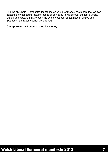The Welsh Liberal Democrats' insistence on value for money has meant that we can boast the lowest council tax increases of any party in Wales over the last 6 years. Cardiff and Wrexham have seen the two lowest council tax rises in Wales and Swansea has frozen council tax this year.

#### **Our approach will ensure value for money.**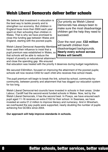#### Welsh Liberal Democrats deliver better schools

We believe that investment in education is the best way to tackle poverty and to strengthen our economy. But children in England have more than £600 each year spent on their schooling than children in Wales. That is why we have promised to close this funding gap between Wales and England, starting with the poorest pupils.

Welsh Liberal Democrat Assembly Members have used their influence to insist that a pupil premium was established in Wales, so that schools will be able to reduce the impact of poverty on educational attainment and close the spending gap. We ensured

Our priority as Welsh Liberal Democrats has always been to make sure the most disadvantage children get the help they need to succeed.

Over the next year, **£32 million** will benefit children from disadvantaged backgrounds. **Nearly every school across Wales will benefit**.

that education was treated with the priority it deserves during budget negotiations.

We secured £32 million, focused on improving the attainment of the poorest pupils; schools will now receive £450 for each child who receives free school meals.

The pupil premium will begin to break the link, school-by-school, community-bycommunity, between poverty and attainment that has dogged our education system for too long.

Welsh Liberal Democrat-led councils have invested in schools in their areas. Under Labour, Cardiff had the second-worst funded schools in Wales. Now, led by the Welsh Liberal Democrats, it has the second best. In Powys, we have ensured each pupil aged 11-16 receives an extra £150 for their school. In Swansea, we have invested an extra £1.2 million to improve literacy and numeracy. And in Wrexham, we overhauled the way pupils were supported, nearly doubling the number of pupils achieving five GCSEs since 2004.

#### **Our approach will help improve standards in schools.**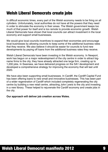# Welsh Liberal Democrats create jobs

In difficult economic times, every part of the Welsh economy needs to be firing on all cylinders. Unfortunately, local authorities do not have all the powers that they need in order to stimulate the economy in their areas. The Welsh government keeps too much of that power for itself and is too remote to provide economic growth. Welsh Liberal Democrats have shown that local councils can attract investment in the local economy and support small businesses.

We would give local councils incentives to expand their economies and encourage local businesses by allowing councils to keep some of the additional business rates that they receive. We also believe it should be easier for councils to fund new developments by paying off loans from the additional business rates they receive.

Welsh Liberal Democrats have been investing in the Welsh economy. In Newport, work has begun on a major redevelopment of the city centre in order to attract bigname firms to the city; they have already attracted one large firm, creating up to 1,200 jobs. In Swansea, we have delivered progress on the SA1 development and developed a comprehensive strategy for improving the economy that will last until 2020.

We have also been supporting small businesses. In Cardiff, the Cardiff Capital Fund has been offering loans to new small and innovative businesses. This has been part of a wider regeneration of Cardiff which included completely regenerating the city centre by building a new retail centre, attracting John Lewis to the city and investing in a new library. These helped to rejuvenate the Cardiff economy and create jobs in the city.

**Our approach will deliver job creation across Wales.**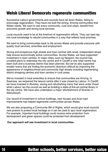#### Welsh Liberal Democrats regenerate communities

Successive Labour governments and councils have let down Wales, failing to encourage regeneration. They have not built the strong, thriving communities that Wales needs. We want to see every community, rural and urban, benefit from economic growth and strong local services.

Local councils need to be at the forefront of regeneration efforts. They can best tap into local knowledge to rebuild communities in a way that reflects local priorities.

We want to bring communities back to life across Wales and provide everyone with quality local services, amenities and employment.

Strong and prosperous high streets and town centres with small, independent shops help ensure economically active communities. Across Wales, we have supported investment in town centres. In major cities, such as Newport, the council has unveiled plans to redevelop the city centre and in Cardiff a new retail centre has been built and a business district has been planned. But we've also supported smaller towns that are finding the economic downturn difficult by improving the appearance of neighbourhood and community high streets including regenerating district shopping centres and town centres in rural areas.

We've invested in local amenities to ensure that communities are thriving. In Swansea, we reopened the leisure centre after it was closed by Labour. In Cardiff, we have invested in libraries, saving and refurbishing many that were under threat when Labour ran the council as well as building a state-of-the-art central library in the city centre. We have also undertaken a major refurbishment of libraries in Aberystwyth.

Our record of investment in school buildings, new houses and local road improvements has helped regenerate communities across Wales.

We are also proposing a Community Bill of Rights, which would give local councils new powers to protect local heritage so it can be used to spur local regeneration. For example, important local buildings could receive extra protection from development and green spaces could be protected from development.

#### **Our approach will see investment in local communities.**

#### 10 Better schools, better services, better value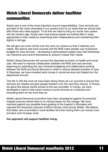# Welsh Liberal Democrats deliver healthier communities

Social care is one of the most important council responsibilities. Care services are provided to the most vulnerable in our society and it is our belief that we should look after those who need support. To do this we need to bring our social care system into the modern age. Social care must ensure people are looked after in ways appropriate to their needs by maximising their independence and maintaining their dignity in old age.

We will give you more choice over the care you receive so that it matches your needs. We want to see local councils and the NHS make greater use of personal budgets for care services – developing a personalised support plan that individuals can influence and control themselves to ensure it meets their needs.

Welsh Liberal Democrats will connect the disjointed provision of health and social care. We want to improve collaboration between the NHS and care services, beginning by extending the use of shared budgeting and collaborative working between the NHS and Social Services in order to reduce delayed transfers of care. In Swansea, we have invested extra money in social services and helped turn the department around.

This fits in with the work we have been doing where we run councils to ensure that services are reliable and give people freedom over the care they receive. In Powys, we gave free leisure centre access to the war wounded. In Conwy, we have developed a card to help carers receive council services at a reduced cost – rewarding them for the work they do.

Welsh Liberal Democrat councillors have also campaigned against ill-conceived hospital closures where there is no clinical reason for the change. We have marched against any possible down-grading of the hospital in Bronglais and opposed the temporary closures of Minor Injuries Units across Wales. We believe that better care is provided in local facilities and that closing them can worsen care provision and increase costs.

#### **Our approach will support healthier living.**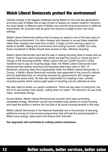# Welsh Liberal Democrats protect the environment

Climate change is the biggest challenge facing Wales for the next few generations and every part of Wales has to play its part to reduce our carbon footprint. However, the local needs of different parts of Wales vary and the local environment is different everywhere. So councils must be given the chance to adapt to their own local settings.

Welsh Liberal Democrats believe that re-using our waste is one of the best ways of helping the environment. It is often cheaper and cleaner to re-use these materials rather than creating new ones from scratch. It stops us from having to send our waste to landfill, helping the environment and cutting councils' Landfill Tax costs. Every household in Wales should have access to free, effective recycling.

Welsh Liberal Democrats have led the way in raising recycling rates in areas that we control. They have risen everywhere where we lead the council or where we are in charge of the recycling portfolio. When Labour last ran Cardiff Council in 2004, residents had to pay for recycling bags. Now, the Welsh Liberal Democrats have introduced free weekly recycling and recycling rates have risen to 50%. In Wrexham, recycling rates have quadrupled under the Welsh Liberal Democrats. In Conwy, a Welsh Liberal Democrat councillor was appointed to the council's cabinet and his dedicated work on recycling ensured the government's 40% target was reached two years early. He was also responsible for creating a new, smarter recycling system which means eight types of recycling can be collected at once.

We also need to tackle our carbon emissions. There are two ways of doing this; the first is to use energy more wisely, cutting down on waste. The second is to use more clean, renewable energy.

Across Wales, Welsh Liberal Democrat-led councils have been promoting renewable energy. Wrexham council has installed solar panels on social housing and used the profits to reduce the fuel bills of all social housing tenants in the area.

Welsh Liberal Democrats in the National Assembly are in the process of securing additional money for fuel poverty programmes that will help the poorest people in Wales save energy, keep warm and reduce their fuel bills.

**Our approach will contribute to cutting carbon emissions.**

#### Better schools, better services, better value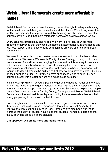# Welsh Liberal Democrats create more affordable homes

Welsh Liberal Democrats believe that everyone has the right to adequate housing for the health and well-being of themselves and their family. We will only make this a reality if we increase the supply of affordable housing. Welsh Liberal Democrat-led councils have ensured that more affordable homes are available across Wales.

Every area has different housing needs. We want to give local councils more freedom to deliver so that they can build homes in accordance with local needs and with local support. The needs of rural communities are very different from urban communities.

We want local councils to have greater powers to restore homes that have fallen into disrepair. We want a Wales-wide Empty Homes Strategy to bring old homes back into use. This will include changing the rules so that it is as easy to renovate old houses as it is to build new ones and streamlining the process where local councils can purchase empty homes. We want councils to have greater powers to require affordable homes to be built as part of new housing developments – building on their existing abilities. In Cardiff, we have announced plans to build 350 new council houses; with greater powers, this figure could be higher.

It is increasingly difficult for young people to get on the housing ladder as the credit crunch has made it hard to get a mortgage without having a large deposit. We have already delivered or supported Mortgage Guarantee Schemes to help young people secure first home deposits in Cardiff, Conwy, Ceredigion and Powys. Welsh Liberal Democrats in the National Assembly are pushing for a Wales-wide scheme to help young people pay for a deposit on their houses.

Housing rights need to be available to everyone, regardless of what sort of home they live in. That is why we have proposed a law in the National Assembly to improve the rights of people living in Park Homes. We've also been working to increase the quality of student housing so that students' homes are safe and that the surrounding areas are more pleasant.

#### **Our approach will create more affordable homes.**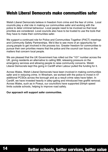#### Welsh Liberal Democrats make communities safer

Welsh Liberal Democrats believe in freedom from crime and the fear of crime. Local councils play a vital role in making our communities safer and working with the police to deter criminal behaviour. Local people need to be involved so that local priorities are considered. Local councils also have to be trusted to use the tools that they have to make their communities safer.

We support a continued role for Police and Communities Together (PACT) meetings and Community Safety Partnerships. We'd like to see more of an opportunity for young people to get involved in the process too. Greater freedom for communities to pursue their own priorities means that the police and the council can focus on the matters that concern local people.

We are pleased that the UK Government has rolled out the "101" number across the UK, giving residents an alternative to calling 999, releasing pressure on the emergency services and allowing people to raise community concerns. Welsh Liberal Democrats kept this going in Cardiff when Labour pulled the funding for it.

Across Wales, Welsh Liberal Democrats have been involved in making communities safer and in reducing crime. In Wrexham, we worked with the police to invest in 47 additional PCSOs across the borough and as a result crime rates have fallen. In Cardiff, we have invested heavily in alley-gating and introduced free graffiti removal. Across Wales, such as in Powys, our councillors have supported 20mph speed limits outside schools, helping to improve road safety.

#### **Our approach will support safer communities.**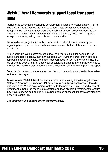# Welsh Liberal Democrats support local transport links

Transport is essential to economic development but also for social justice. That is why Welsh Liberal Democrats want to support local authorities to improve their transport links. We want a coherent approach to transport policy by reducing the number of agencies involved in creating transport links by setting-up a regional transport authority, led by two or three local authorities.

We would encourage improved bus services in rural and poorer areas by reregulating buses, so that local authorities can ensure that all of their communities are served.

The Labour-run Welsh government is making it more difficult for people to use public transport. Recently, they announced a 25% cut to the grant that helps bus companies cover fuel costs, and now fares will have to rise. At the same time, they are spending over £1 million each year subsidising flights from one part of Wales to another. We would prefer to see this money spent on other forms of public transport.

Councils play a vital role in ensuring that the road network across Wales is suitable for the modern age.

Across Wales, Welsh Liberal Democrats have been making it easier to get across Wales. In Newport, we invested £21 million to fix crumbling local roads in the city, long before the Welsh government woke up to the problem. This involved a one-off investment to bring the roads up to scratch and then on-going investment to ensure they never become so bad again. This has been so successful that we are planning to try it in Cardiff too.

#### **Our approach will ensure better transport links.**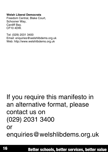#### **Welsh Liberal Democrats**

Freedom Central, Blake Court, Schooner Way, Cardiff Bay. CF10 4DW.

Tel: (029) 2031 3400 Email: enquiries@welshlibdems.org.uk Web: http://www.welshlibdems.org.uk

# If you require this manifesto in an alternative format, please contact us on (029) 2031 3400 or enquiries@welshlibdems.org.uk